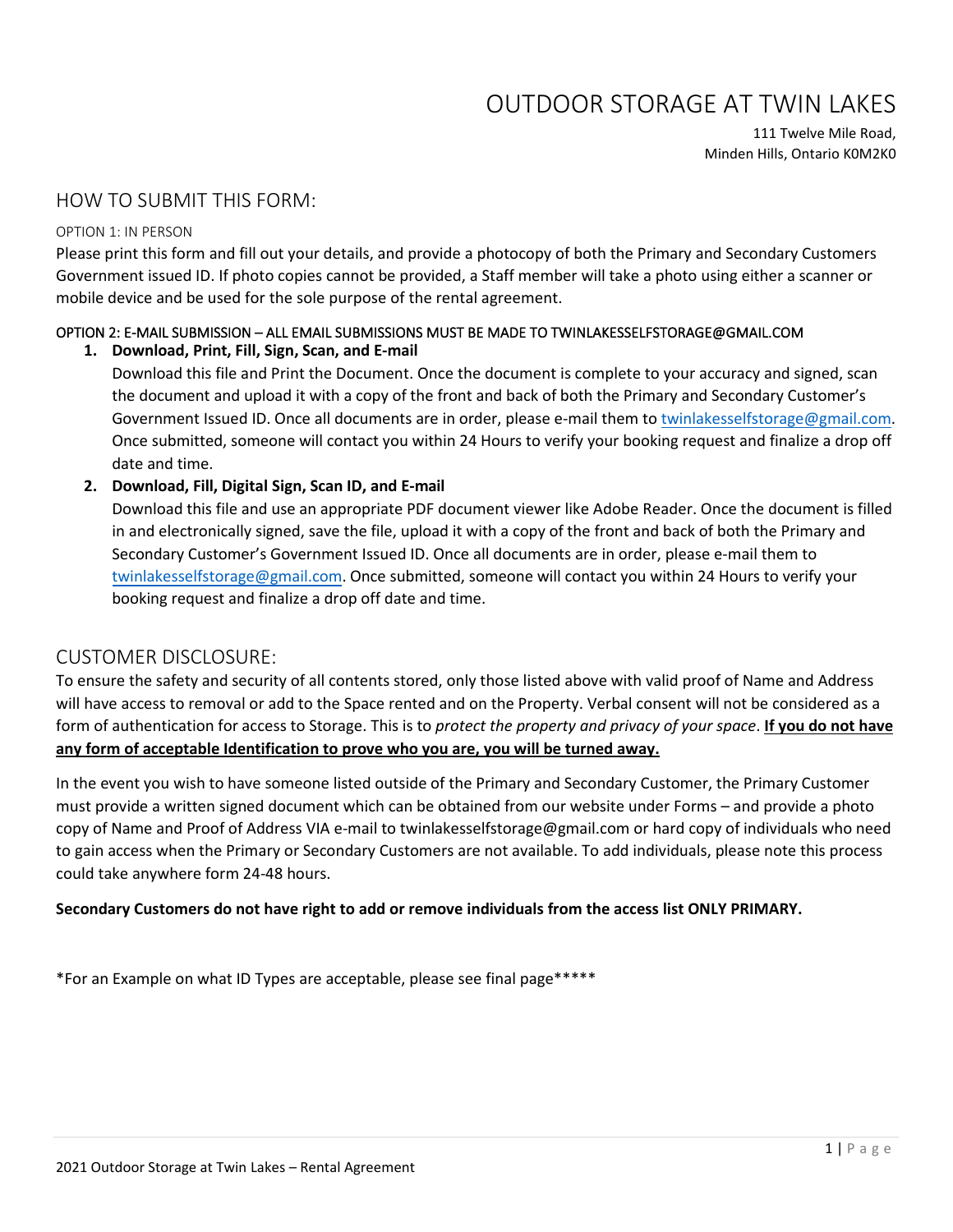# OUTDOOR STORAGE AT TWIN LAKES

111 Twelve Mile Road, Minden Hills, Ontario K0M2K0

### HOW TO SUBMIT THIS FORM:

### OPTION 1: IN PERSON

Please print this form and fill out your details, and provide a photocopy of both the Primary and Secondary Customers Government issued ID. If photo copies cannot be provided, a Staff member will take a photo using either a scanner or mobile device and be used for the sole purpose of the rental agreement.

## OPTION 2: E-MAIL SUBMISSION – ALL EMAIL SUBMISSIONS MUST BE MADE TO TWINLAKESSELFSTORAGE@GMAIL.COM

### **1. Download, Print, Fill, Sign, Scan, and E-mail**

Download this file and Print the Document. Once the document is complete to your accuracy and signed, scan the document and upload it with a copy of the front and back of both the Primary and Secondary Customer's Government Issued ID. Once all documents are in order, please e-mail them to [twinlakesselfstorage@gmail.com.](mailto:twinlakesselfstorage@gmail.com) Once submitted, someone will contact you within 24 Hours to verify your booking request and finalize a drop off date and time.

### **2. Download, Fill, Digital Sign, Scan ID, and E-mail**

Download this file and use an appropriate PDF document viewer like Adobe Reader. Once the document is filled in and electronically signed, save the file, upload it with a copy of the front and back of both the Primary and Secondary Customer's Government Issued ID. Once all documents are in order, please e-mail them to [twinlakesselfstorage@gmail.com.](mailto:twinlakesselfstorage@gmail.com) Once submitted, someone will contact you within 24 Hours to verify your booking request and finalize a drop off date and time.

### CUSTOMER DISCLOSURE:

To ensure the safety and security of all contents stored, only those listed above with valid proof of Name and Address will have access to removal or add to the Space rented and on the Property. Verbal consent will not be considered as a form of authentication for access to Storage. This is to *protect the property and privacy of your space*. **If you do not have any form of acceptable Identification to prove who you are, you will be turned away.** 

In the event you wish to have someone listed outside of the Primary and Secondary Customer, the Primary Customer must provide a written signed document which can be obtained from our website under Forms – and provide a photo copy of Name and Proof of Address VIA e-mail to twinlakesselfstorage@gmail.com or hard copy of individuals who need to gain access when the Primary or Secondary Customers are not available. To add individuals, please note this process could take anywhere form 24-48 hours.

### **Secondary Customers do not have right to add or remove individuals from the access list ONLY PRIMARY.**

\*For an Example on what ID Types are acceptable, please see final page\*\*\*\*\*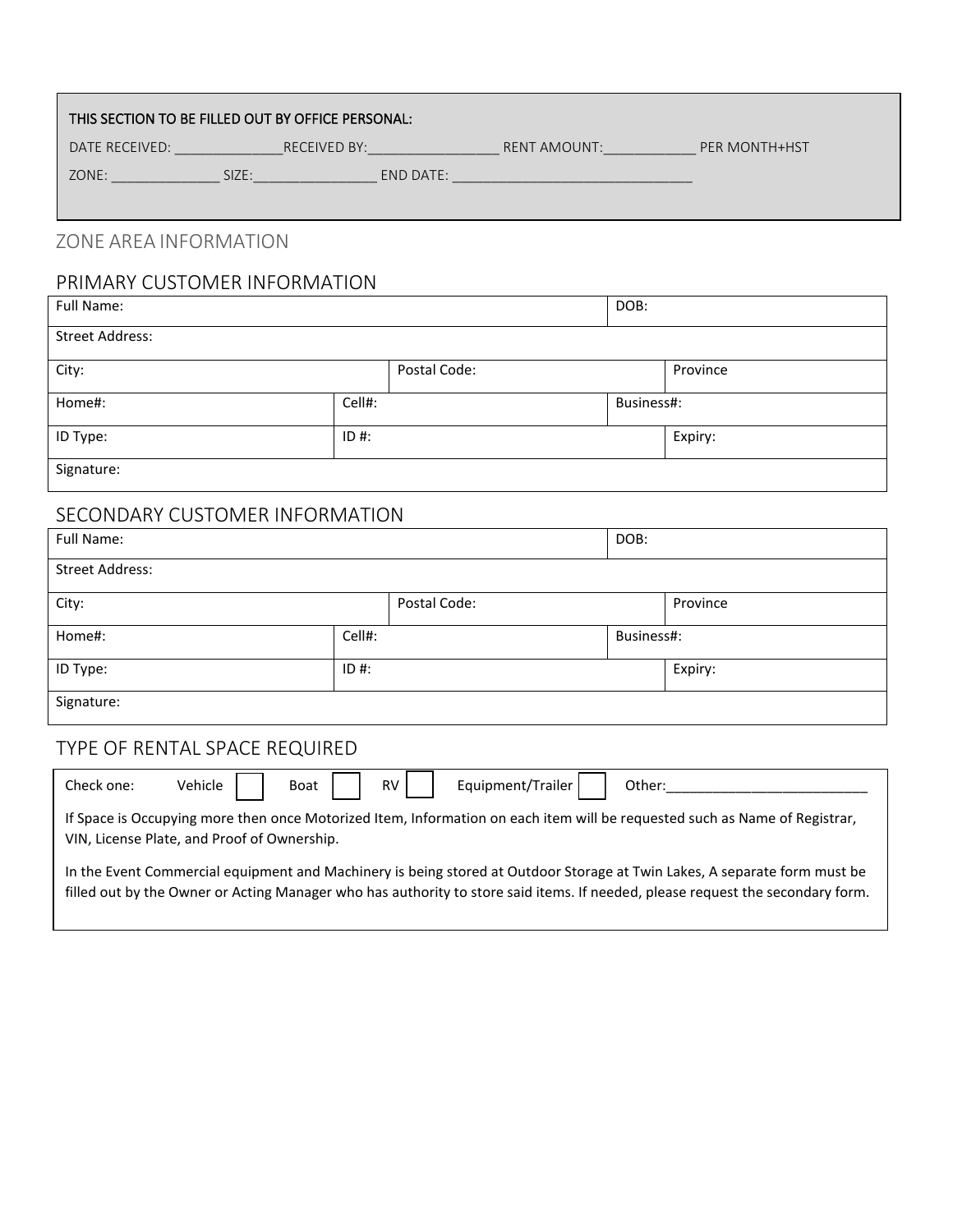| THIS SECTION TO BE FILLED OUT BY OFFICE PERSONAL: |              |              |                      |  |
|---------------------------------------------------|--------------|--------------|----------------------|--|
| DATE RECEIVED:                                    | RECEIVED BY: | RENT AMOUNT: | <b>PER MONTH+HST</b> |  |
| ZONE:<br>SIZE:                                    | END DATE:    |              |                      |  |

# ZONE AREA INFORMATION

## PRIMARY CUSTOMER INFORMATION

| Full Name:             |              | DOB:       |
|------------------------|--------------|------------|
| <b>Street Address:</b> |              |            |
| City:                  | Postal Code: | Province   |
| Home#:                 | Cell#:       | Business#: |
| ID Type:               | $ID#$ :      | Expiry:    |
| Signature:             |              |            |

## SECONDARY CUSTOMER INFORMATION

| Full Name:             |         |              | DOB:       |          |
|------------------------|---------|--------------|------------|----------|
| <b>Street Address:</b> |         |              |            |          |
| City:                  |         | Postal Code: |            | Province |
| Home#:                 | Cell#:  |              | Business#: |          |
| ID Type:               | $ID$ #: |              |            | Expiry:  |
| Signature:             |         |              |            |          |

# TYPE OF RENTAL SPACE REQUIRED

| Check one:                                                                                                                                                                                                                                                  | Equipment/Trailer  <br>Vehicle<br>Boat   RV  <br>Other: |  |  |
|-------------------------------------------------------------------------------------------------------------------------------------------------------------------------------------------------------------------------------------------------------------|---------------------------------------------------------|--|--|
| If Space is Occupying more then once Motorized Item, Information on each item will be requested such as Name of Registrar,<br>VIN, License Plate, and Proof of Ownership.                                                                                   |                                                         |  |  |
| In the Event Commercial equipment and Machinery is being stored at Outdoor Storage at Twin Lakes, A separate form must be<br>filled out by the Owner or Acting Manager who has authority to store said items. If needed, please request the secondary form. |                                                         |  |  |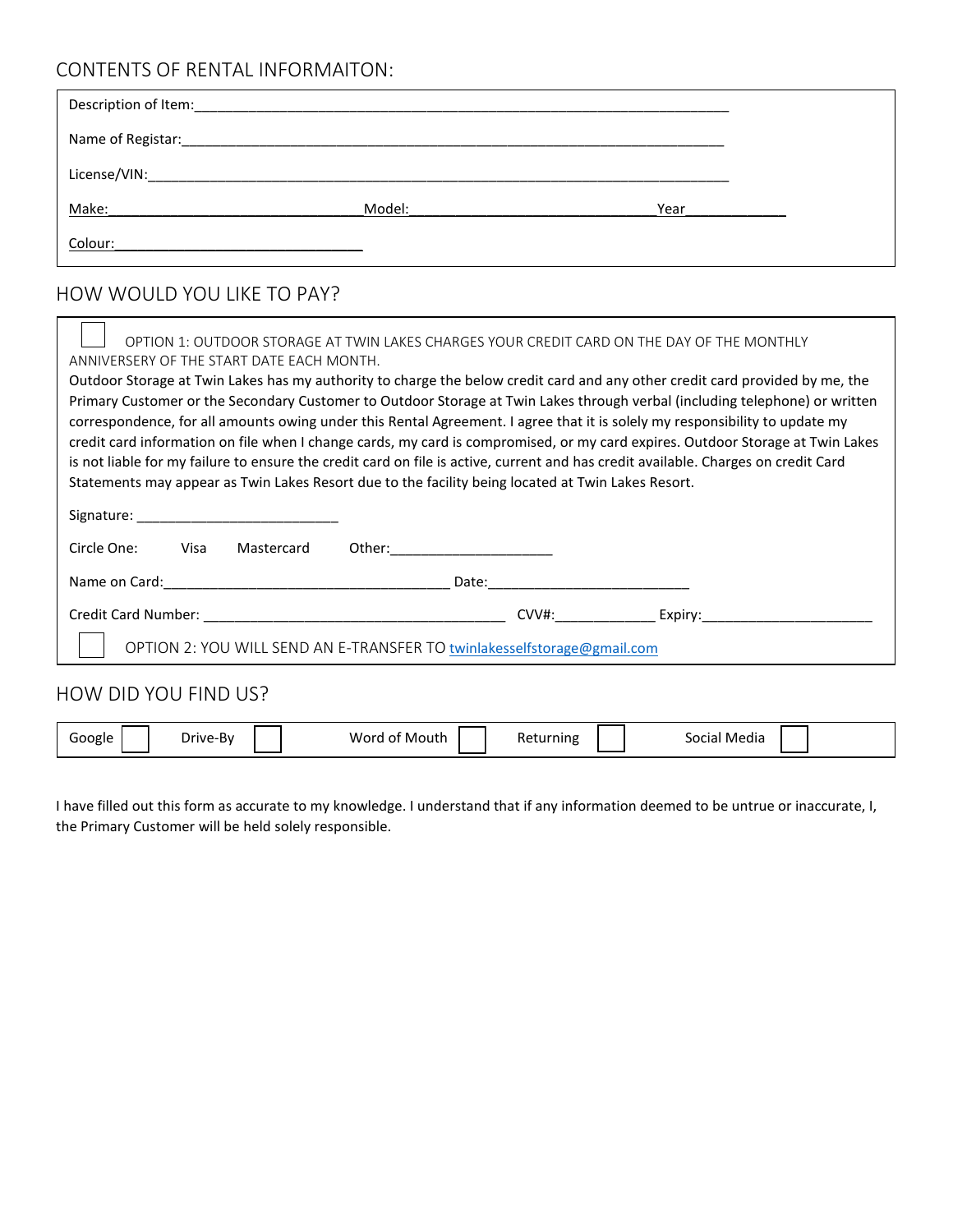## CONTENTS OF RENTAL INFORMAITON:

| Name of Registar: |        |      |
|-------------------|--------|------|
|                   |        |      |
| Make:             | Model: | Year |
| Colour:           |        |      |

# HOW WOULD YOU LIKE TO PAY?

| OPTION 1: OUTDOOR STORAGE AT TWIN LAKES CHARGES YOUR CREDIT CARD ON THE DAY OF THE MONTHLY<br>ANNIVERSERY OF THE START DATE EACH MONTH.                                                                                                                                                                                                                                                                                                                                                                                                                                                                                                                                                                                                                                  |                                                                                                                                                                                                                                |  |  |  |
|--------------------------------------------------------------------------------------------------------------------------------------------------------------------------------------------------------------------------------------------------------------------------------------------------------------------------------------------------------------------------------------------------------------------------------------------------------------------------------------------------------------------------------------------------------------------------------------------------------------------------------------------------------------------------------------------------------------------------------------------------------------------------|--------------------------------------------------------------------------------------------------------------------------------------------------------------------------------------------------------------------------------|--|--|--|
|                                                                                                                                                                                                                                                                                                                                                                                                                                                                                                                                                                                                                                                                                                                                                                          |                                                                                                                                                                                                                                |  |  |  |
| Outdoor Storage at Twin Lakes has my authority to charge the below credit card and any other credit card provided by me, the<br>Primary Customer or the Secondary Customer to Outdoor Storage at Twin Lakes through verbal (including telephone) or written<br>correspondence, for all amounts owing under this Rental Agreement. I agree that it is solely my responsibility to update my<br>credit card information on file when I change cards, my card is compromised, or my card expires. Outdoor Storage at Twin Lakes<br>is not liable for my failure to ensure the credit card on file is active, current and has credit available. Charges on credit Card<br>Statements may appear as Twin Lakes Resort due to the facility being located at Twin Lakes Resort. |                                                                                                                                                                                                                                |  |  |  |
| Signature: the contract of the contract of the contract of the contract of the contract of the contract of the                                                                                                                                                                                                                                                                                                                                                                                                                                                                                                                                                                                                                                                           |                                                                                                                                                                                                                                |  |  |  |
| Circle One:<br><b>Visa</b><br>Mastercard                                                                                                                                                                                                                                                                                                                                                                                                                                                                                                                                                                                                                                                                                                                                 |                                                                                                                                                                                                                                |  |  |  |
| Name on Card: The contract of the contract of the contract of the contract of the contract of the contract of the contract of the contract of the contract of the contract of the contract of the contract of the contract of                                                                                                                                                                                                                                                                                                                                                                                                                                                                                                                                            | Date: the contract of the contract of the contract of the contract of the contract of the contract of the contract of the contract of the contract of the contract of the contract of the contract of the contract of the cont |  |  |  |
|                                                                                                                                                                                                                                                                                                                                                                                                                                                                                                                                                                                                                                                                                                                                                                          | CVV#: Expiry:                                                                                                                                                                                                                  |  |  |  |
| OPTION 2: YOU WILL SEND AN E-TRANSFER TO twinlakesselfstorage@gmail.com                                                                                                                                                                                                                                                                                                                                                                                                                                                                                                                                                                                                                                                                                                  |                                                                                                                                                                                                                                |  |  |  |

## HOW DID YOU FIND US?

| Wor.<br>عافصهن<br>ning<br>-Bv<br>Mouth<br>Jrive-<br>. | Media<br><b>JUL</b><br>Cidi |
|-------------------------------------------------------|-----------------------------|
|-------------------------------------------------------|-----------------------------|

I have filled out this form as accurate to my knowledge. I understand that if any information deemed to be untrue or inaccurate, I, the Primary Customer will be held solely responsible.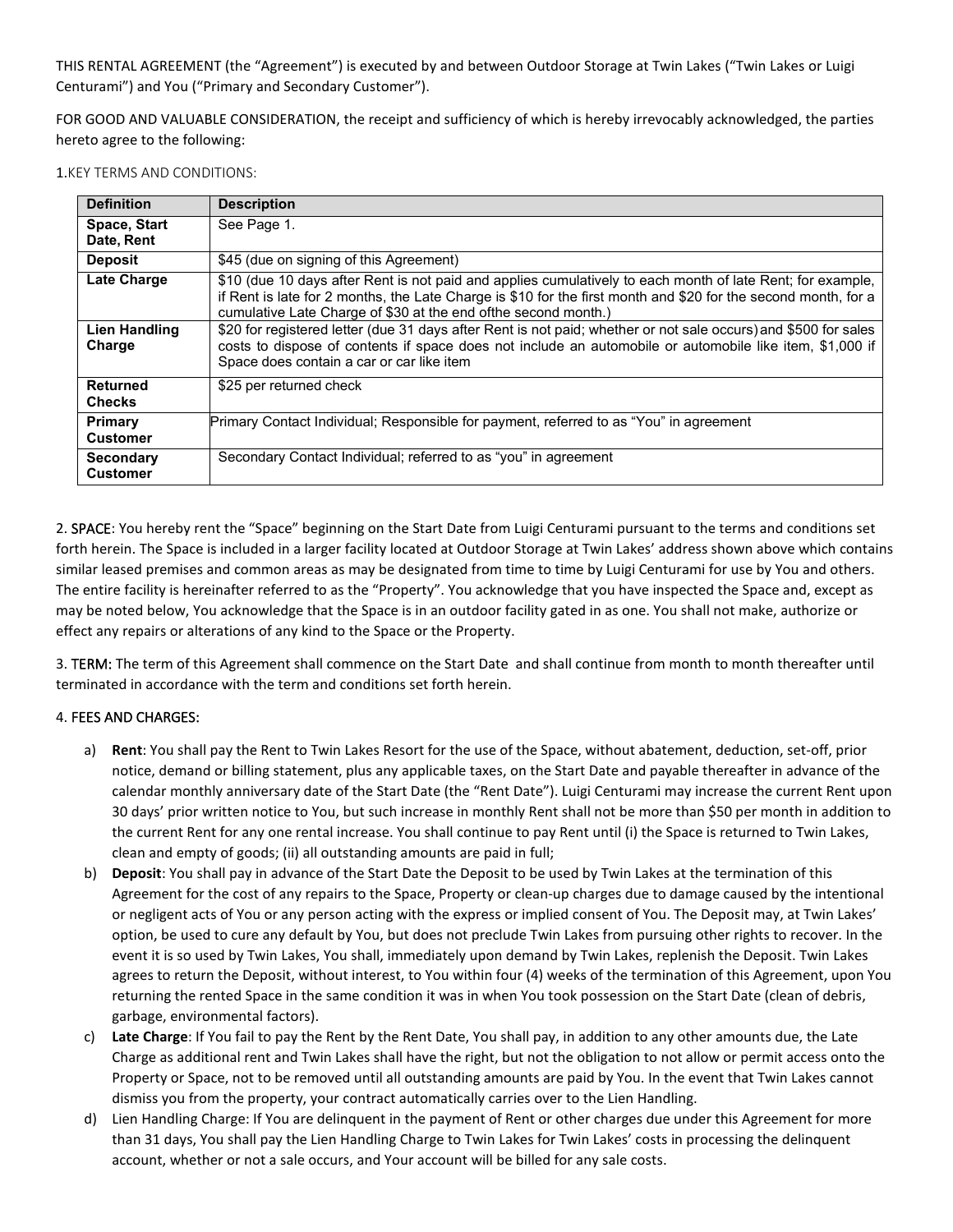THIS RENTAL AGREEMENT (the "Agreement") is executed by and between Outdoor Storage at Twin Lakes ("Twin Lakes or Luigi Centurami") and You ("Primary and Secondary Customer").

FOR GOOD AND VALUABLE CONSIDERATION, the receipt and sufficiency of which is hereby irrevocably acknowledged, the parties hereto agree to the following:

1.KEY TERMS AND CONDITIONS:

| <b>Definition</b>                   | <b>Description</b>                                                                                                                                                                                                                                                                             |
|-------------------------------------|------------------------------------------------------------------------------------------------------------------------------------------------------------------------------------------------------------------------------------------------------------------------------------------------|
| Space, Start<br>Date, Rent          | See Page 1.                                                                                                                                                                                                                                                                                    |
| <b>Deposit</b>                      | \$45 (due on signing of this Agreement)                                                                                                                                                                                                                                                        |
| <b>Late Charge</b>                  | \$10 (due 10 days after Rent is not paid and applies cumulatively to each month of late Rent; for example,<br>if Rent is late for 2 months, the Late Charge is \$10 for the first month and \$20 for the second month, for a<br>cumulative Late Charge of \$30 at the end ofthe second month.) |
| <b>Lien Handling</b><br>Charge      | \$20 for registered letter (due 31 days after Rent is not paid; whether or not sale occurs) and \$500 for sales<br>costs to dispose of contents if space does not include an automobile or automobile like item, \$1,000 if<br>Space does contain a car or car like item                       |
| <b>Returned</b><br><b>Checks</b>    | \$25 per returned check                                                                                                                                                                                                                                                                        |
| Primary<br><b>Customer</b>          | Primary Contact Individual; Responsible for payment, referred to as "You" in agreement                                                                                                                                                                                                         |
| <b>Secondary</b><br><b>Customer</b> | Secondary Contact Individual; referred to as "you" in agreement                                                                                                                                                                                                                                |

2. SPACE: You hereby rent the "Space" beginning on the Start Date from Luigi Centurami pursuant to the terms and conditions set forth herein. The Space is included in a larger facility located at Outdoor Storage at Twin Lakes' address shown above which contains similar leased premises and common areas as may be designated from time to time by Luigi Centurami for use by You and others. The entire facility is hereinafter referred to as the "Property". You acknowledge that you have inspected the Space and, except as may be noted below, You acknowledge that the Space is in an outdoor facility gated in as one. You shall not make, authorize or effect any repairs or alterations of any kind to the Space or the Property.

3. TERM: The term of this Agreement shall commence on the Start Date and shall continue from month to month thereafter until terminated in accordance with the term and conditions set forth herein.

### 4. FEES AND CHARGES:

- a) **Rent**: You shall pay the Rent to Twin Lakes Resort for the use of the Space, without abatement, deduction, set-off, prior notice, demand or billing statement, plus any applicable taxes, on the Start Date and payable thereafter in advance of the calendar monthly anniversary date of the Start Date (the "Rent Date"). Luigi Centurami may increase the current Rent upon 30 days' prior written notice to You, but such increase in monthly Rent shall not be more than \$50 per month in addition to the current Rent for any one rental increase. You shall continue to pay Rent until (i) the Space is returned to Twin Lakes, clean and empty of goods; (ii) all outstanding amounts are paid in full;
- b) **Deposit**: You shall pay in advance of the Start Date the Deposit to be used by Twin Lakes at the termination of this Agreement for the cost of any repairs to the Space, Property or clean-up charges due to damage caused by the intentional or negligent acts of You or any person acting with the express or implied consent of You. The Deposit may, at Twin Lakes' option, be used to cure any default by You, but does not preclude Twin Lakes from pursuing other rights to recover. In the event it is so used by Twin Lakes, You shall, immediately upon demand by Twin Lakes, replenish the Deposit. Twin Lakes agrees to return the Deposit, without interest, to You within four (4) weeks of the termination of this Agreement, upon You returning the rented Space in the same condition it was in when You took possession on the Start Date (clean of debris, garbage, environmental factors).
- c) **Late Charge**: If You fail to pay the Rent by the Rent Date, You shall pay, in addition to any other amounts due, the Late Charge as additional rent and Twin Lakes shall have the right, but not the obligation to not allow or permit access onto the Property or Space, not to be removed until all outstanding amounts are paid by You. In the event that Twin Lakes cannot dismiss you from the property, your contract automatically carries over to the Lien Handling.
- d) Lien Handling Charge: If You are delinquent in the payment of Rent or other charges due under this Agreement for more than 31 days, You shall pay the Lien Handling Charge to Twin Lakes for Twin Lakes' costs in processing the delinquent account, whether or not a sale occurs, and Your account will be billed for any sale costs.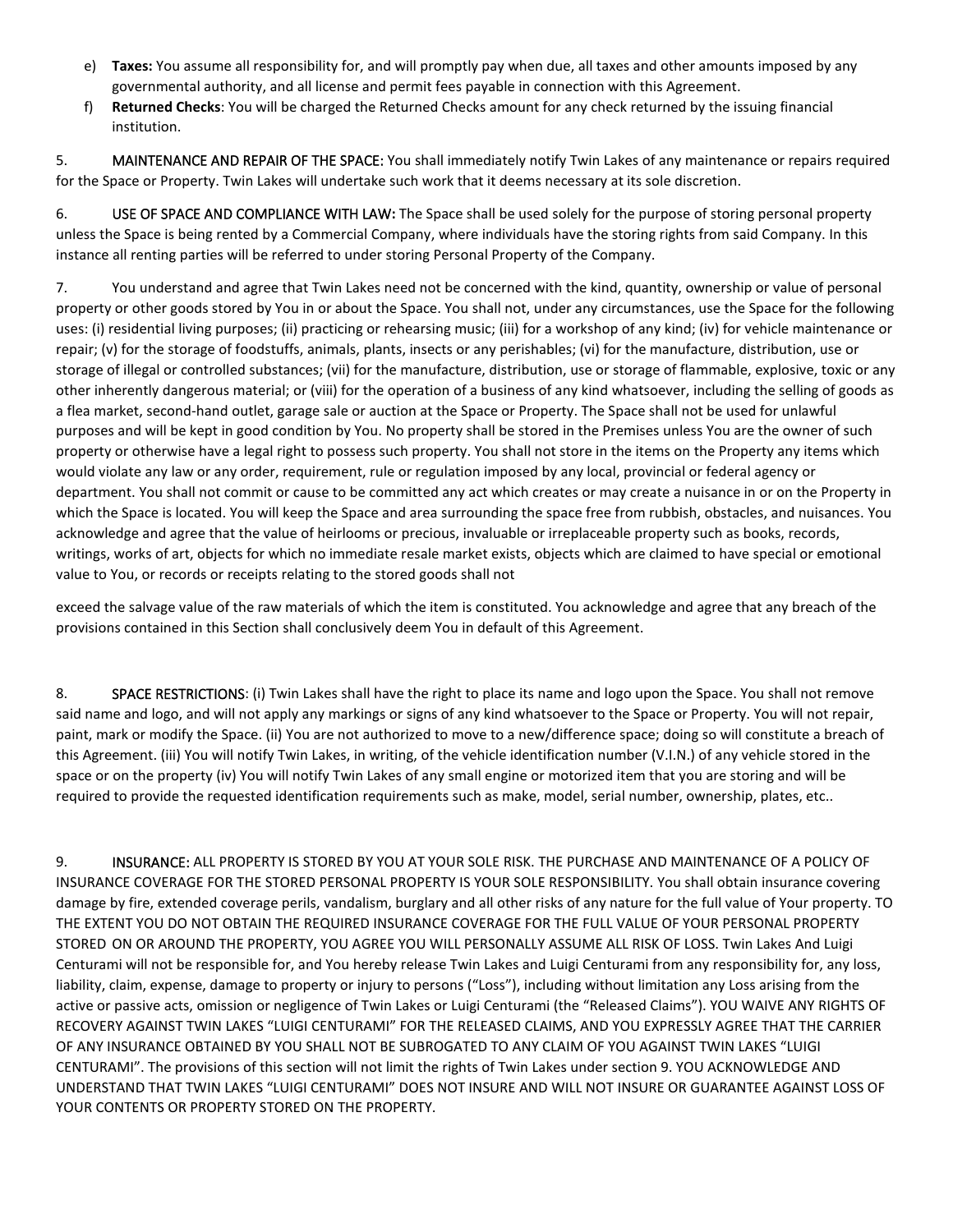- e) **Taxes:** You assume all responsibility for, and will promptly pay when due, all taxes and other amounts imposed by any governmental authority, and all license and permit fees payable in connection with this Agreement.
- f) **Returned Checks**: You will be charged the Returned Checks amount for any check returned by the issuing financial institution.

5. MAINTENANCE AND REPAIR OF THE SPACE: You shall immediately notify Twin Lakes of any maintenance or repairs required for the Space or Property. Twin Lakes will undertake such work that it deems necessary at its sole discretion.

6. USE OF SPACE AND COMPLIANCE WITH LAW**:** The Space shall be used solely for the purpose of storing personal property unless the Space is being rented by a Commercial Company, where individuals have the storing rights from said Company. In this instance all renting parties will be referred to under storing Personal Property of the Company.

7. You understand and agree that Twin Lakes need not be concerned with the kind, quantity, ownership or value of personal property or other goods stored by You in or about the Space. You shall not, under any circumstances, use the Space for the following uses: (i) residential living purposes; (ii) practicing or rehearsing music; (iii) for a workshop of any kind; (iv) for vehicle maintenance or repair; (v) for the storage of foodstuffs, animals, plants, insects or any perishables; (vi) for the manufacture, distribution, use or storage of illegal or controlled substances; (vii) for the manufacture, distribution, use or storage of flammable, explosive, toxic or any other inherently dangerous material; or (viii) for the operation of a business of any kind whatsoever, including the selling of goods as a flea market, second-hand outlet, garage sale or auction at the Space or Property. The Space shall not be used for unlawful purposes and will be kept in good condition by You. No property shall be stored in the Premises unless You are the owner of such property or otherwise have a legal right to possess such property. You shall not store in the items on the Property any items which would violate any law or any order, requirement, rule or regulation imposed by any local, provincial or federal agency or department. You shall not commit or cause to be committed any act which creates or may create a nuisance in or on the Property in which the Space is located. You will keep the Space and area surrounding the space free from rubbish, obstacles, and nuisances. You acknowledge and agree that the value of heirlooms or precious, invaluable or irreplaceable property such as books, records, writings, works of art, objects for which no immediate resale market exists, objects which are claimed to have special or emotional value to You, or records or receipts relating to the stored goods shall not

exceed the salvage value of the raw materials of which the item is constituted. You acknowledge and agree that any breach of the provisions contained in this Section shall conclusively deem You in default of this Agreement.

8. SPACE RESTRICTIONS: (i) Twin Lakes shall have the right to place its name and logo upon the Space. You shall not remove said name and logo, and will not apply any markings or signs of any kind whatsoever to the Space or Property. You will not repair, paint, mark or modify the Space. (ii) You are not authorized to move to a new/difference space; doing so will constitute a breach of this Agreement. (iii) You will notify Twin Lakes, in writing, of the vehicle identification number (V.I.N.) of any vehicle stored in the space or on the property (iv) You will notify Twin Lakes of any small engine or motorized item that you are storing and will be required to provide the requested identification requirements such as make, model, serial number, ownership, plates, etc..

9. INSURANCE: ALL PROPERTY IS STORED BY YOU AT YOUR SOLE RISK. THE PURCHASE AND MAINTENANCE OF A POLICY OF INSURANCE COVERAGE FOR THE STORED PERSONAL PROPERTY IS YOUR SOLE RESPONSIBILITY. You shall obtain insurance covering damage by fire, extended coverage perils, vandalism, burglary and all other risks of any nature for the full value of Your property. TO THE EXTENT YOU DO NOT OBTAIN THE REQUIRED INSURANCE COVERAGE FOR THE FULL VALUE OF YOUR PERSONAL PROPERTY STORED ON OR AROUND THE PROPERTY, YOU AGREE YOU WILL PERSONALLY ASSUME ALL RISK OF LOSS. Twin Lakes And Luigi Centurami will not be responsible for, and You hereby release Twin Lakes and Luigi Centurami from any responsibility for, any loss, liability, claim, expense, damage to property or injury to persons ("Loss"), including without limitation any Loss arising from the active or passive acts, omission or negligence of Twin Lakes or Luigi Centurami (the "Released Claims"). YOU WAIVE ANY RIGHTS OF RECOVERY AGAINST TWIN LAKES "LUIGI CENTURAMI" FOR THE RELEASED CLAIMS, AND YOU EXPRESSLY AGREE THAT THE CARRIER OF ANY INSURANCE OBTAINED BY YOU SHALL NOT BE SUBROGATED TO ANY CLAIM OF YOU AGAINST TWIN LAKES "LUIGI CENTURAMI". The provisions of this section will not limit the rights of Twin Lakes under section 9. YOU ACKNOWLEDGE AND UNDERSTAND THAT TWIN LAKES "LUIGI CENTURAMI" DOES NOT INSURE AND WILL NOT INSURE OR GUARANTEE AGAINST LOSS OF YOUR CONTENTS OR PROPERTY STORED ON THE PROPERTY.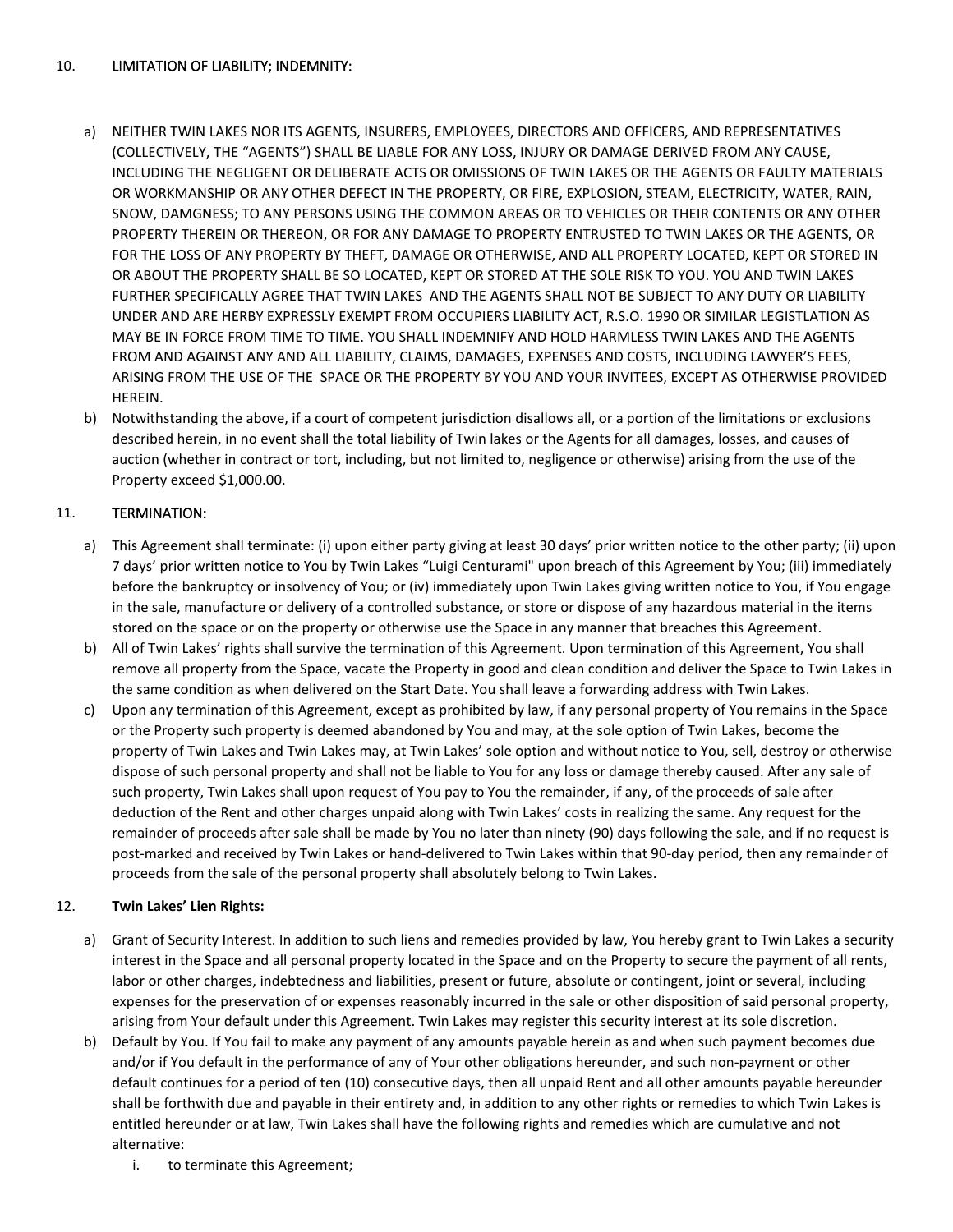### 10. LIMITATION OF LIABILITY; INDEMNITY:

- a) NEITHER TWIN LAKES NOR ITS AGENTS, INSURERS, EMPLOYEES, DIRECTORS AND OFFICERS, AND REPRESENTATIVES (COLLECTIVELY, THE "AGENTS") SHALL BE LIABLE FOR ANY LOSS, INJURY OR DAMAGE DERIVED FROM ANY CAUSE, INCLUDING THE NEGLIGENT OR DELIBERATE ACTS OR OMISSIONS OF TWIN LAKES OR THE AGENTS OR FAULTY MATERIALS OR WORKMANSHIP OR ANY OTHER DEFECT IN THE PROPERTY, OR FIRE, EXPLOSION, STEAM, ELECTRICITY, WATER, RAIN, SNOW, DAMGNESS; TO ANY PERSONS USING THE COMMON AREAS OR TO VEHICLES OR THEIR CONTENTS OR ANY OTHER PROPERTY THEREIN OR THEREON, OR FOR ANY DAMAGE TO PROPERTY ENTRUSTED TO TWIN LAKES OR THE AGENTS, OR FOR THE LOSS OF ANY PROPERTY BY THEFT, DAMAGE OR OTHERWISE, AND ALL PROPERTY LOCATED, KEPT OR STORED IN OR ABOUT THE PROPERTY SHALL BE SO LOCATED, KEPT OR STORED AT THE SOLE RISK TO YOU. YOU AND TWIN LAKES FURTHER SPECIFICALLY AGREE THAT TWIN LAKES AND THE AGENTS SHALL NOT BE SUBJECT TO ANY DUTY OR LIABILITY UNDER AND ARE HERBY EXPRESSLY EXEMPT FROM OCCUPIERS LIABILITY ACT, R.S.O. 1990 OR SIMILAR LEGISTLATION AS MAY BE IN FORCE FROM TIME TO TIME. YOU SHALL INDEMNIFY AND HOLD HARMLESS TWIN LAKES AND THE AGENTS FROM AND AGAINST ANY AND ALL LIABILITY, CLAIMS, DAMAGES, EXPENSES AND COSTS, INCLUDING LAWYER'S FEES, ARISING FROM THE USE OF THE SPACE OR THE PROPERTY BY YOU AND YOUR INVITEES, EXCEPT AS OTHERWISE PROVIDED HEREIN.
- b) Notwithstanding the above, if a court of competent jurisdiction disallows all, or a portion of the limitations or exclusions described herein, in no event shall the total liability of Twin lakes or the Agents for all damages, losses, and causes of auction (whether in contract or tort, including, but not limited to, negligence or otherwise) arising from the use of the Property exceed \$1,000.00.

### 11. TERMINATION:

- a) This Agreement shall terminate: (i) upon either party giving at least 30 days' prior written notice to the other party; (ii) upon 7 days' prior written notice to You by Twin Lakes "Luigi Centurami" upon breach of this Agreement by You; (iii) immediately before the bankruptcy or insolvency of You; or (iv) immediately upon Twin Lakes giving written notice to You, if You engage in the sale, manufacture or delivery of a controlled substance, or store or dispose of any hazardous material in the items stored on the space or on the property or otherwise use the Space in any manner that breaches this Agreement.
- b) All of Twin Lakes' rights shall survive the termination of this Agreement. Upon termination of this Agreement, You shall remove all property from the Space, vacate the Property in good and clean condition and deliver the Space to Twin Lakes in the same condition as when delivered on the Start Date. You shall leave a forwarding address with Twin Lakes.
- c) Upon any termination of this Agreement, except as prohibited by law, if any personal property of You remains in the Space or the Property such property is deemed abandoned by You and may, at the sole option of Twin Lakes, become the property of Twin Lakes and Twin Lakes may, at Twin Lakes' sole option and without notice to You, sell, destroy or otherwise dispose of such personal property and shall not be liable to You for any loss or damage thereby caused. After any sale of such property, Twin Lakes shall upon request of You pay to You the remainder, if any, of the proceeds of sale after deduction of the Rent and other charges unpaid along with Twin Lakes' costs in realizing the same. Any request for the remainder of proceeds after sale shall be made by You no later than ninety (90) days following the sale, and if no request is post-marked and received by Twin Lakes or hand-delivered to Twin Lakes within that 90-day period, then any remainder of proceeds from the sale of the personal property shall absolutely belong to Twin Lakes.

### 12. **Twin Lakes' Lien Rights:**

- a) Grant of Security Interest. In addition to such liens and remedies provided by law, You hereby grant to Twin Lakes a security interest in the Space and all personal property located in the Space and on the Property to secure the payment of all rents, labor or other charges, indebtedness and liabilities, present or future, absolute or contingent, joint or several, including expenses for the preservation of or expenses reasonably incurred in the sale or other disposition of said personal property, arising from Your default under this Agreement. Twin Lakes may register this security interest at its sole discretion.
- b) Default by You. If You fail to make any payment of any amounts payable herein as and when such payment becomes due and/or if You default in the performance of any of Your other obligations hereunder, and such non-payment or other default continues for a period of ten (10) consecutive days, then all unpaid Rent and all other amounts payable hereunder shall be forthwith due and payable in their entirety and, in addition to any other rights or remedies to which Twin Lakes is entitled hereunder or at law, Twin Lakes shall have the following rights and remedies which are cumulative and not alternative:
	- i. to terminate this Agreement;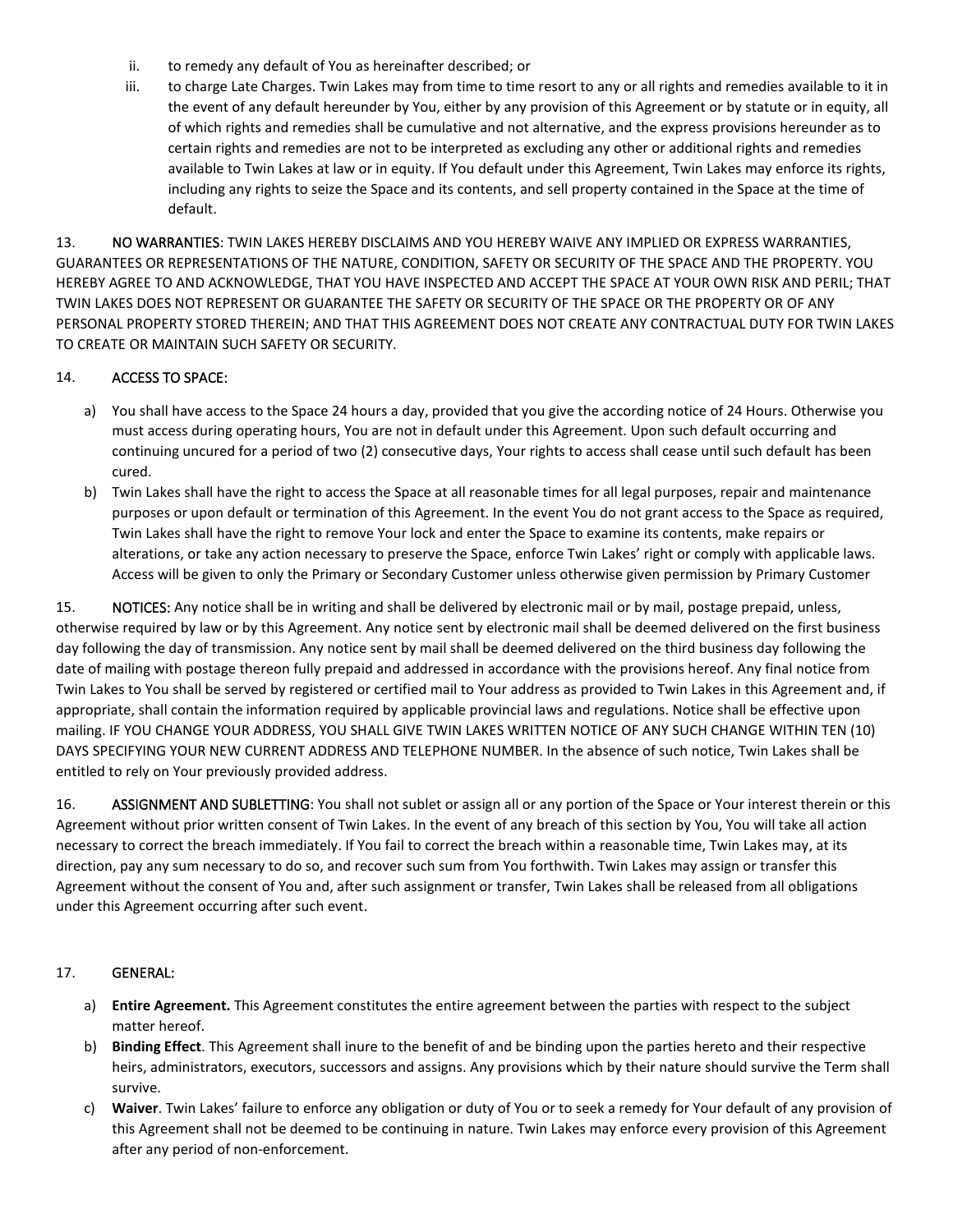- ii. to remedy any default of You as hereinafter described; or
- iii. to charge Late Charges. Twin Lakes may from time to time resort to any or all rights and remedies available to it in the event of any default hereunder by You, either by any provision of this Agreement or by statute or in equity, all of which rights and remedies shall be cumulative and not alternative, and the express provisions hereunder as to certain rights and remedies are not to be interpreted as excluding any other or additional rights and remedies available to Twin Lakes at law or in equity. If You default under this Agreement, Twin Lakes may enforce its rights, including any rights to seize the Space and its contents, and sell property contained in the Space at the time of default.

13. NO WARRANTIES: TWIN LAKES HEREBY DISCLAIMS AND YOU HEREBY WAIVE ANY IMPLIED OR EXPRESS WARRANTIES, GUARANTEES OR REPRESENTATIONS OF THE NATURE, CONDITION, SAFETY OR SECURITY OF THE SPACE AND THE PROPERTY. YOU HEREBY AGREE TO AND ACKNOWLEDGE, THAT YOU HAVE INSPECTED AND ACCEPT THE SPACE AT YOUR OWN RISK AND PERIL; THAT TWIN LAKES DOES NOT REPRESENT OR GUARANTEE THE SAFETY OR SECURITY OF THE SPACE OR THE PROPERTY OR OF ANY PERSONAL PROPERTY STORED THEREIN; AND THAT THIS AGREEMENT DOES NOT CREATE ANY CONTRACTUAL DUTY FOR TWIN LAKES TO CREATE OR MAINTAIN SUCH SAFETY OR SECURITY.

### 14. ACCESS TO SPACE:

- a) You shall have access to the Space 24 hours a day, provided that you give the according notice of 24 Hours. Otherwise you must access during operating hours, You are not in default under this Agreement. Upon such default occurring and continuing uncured for a period of two (2) consecutive days, Your rights to access shall cease until such default has been cured.
- b) Twin Lakes shall have the right to access the Space at all reasonable times for all legal purposes, repair and maintenance purposes or upon default or termination of this Agreement. In the event You do not grant access to the Space as required, Twin Lakes shall have the right to remove Your lock and enter the Space to examine its contents, make repairs or alterations, or take any action necessary to preserve the Space, enforce Twin Lakes' right or comply with applicable laws. Access will be given to only the Primary or Secondary Customer unless otherwise given permission by Primary Customer

15. NOTICES: Any notice shall be in writing and shall be delivered by electronic mail or by mail, postage prepaid, unless, otherwise required by law or by this Agreement. Any notice sent by electronic mail shall be deemed delivered on the first business day following the day of transmission. Any notice sent by mail shall be deemed delivered on the third business day following the date of mailing with postage thereon fully prepaid and addressed in accordance with the provisions hereof. Any final notice from Twin Lakes to You shall be served by registered or certified mail to Your address as provided to Twin Lakes in this Agreement and, if appropriate, shall contain the information required by applicable provincial laws and regulations. Notice shall be effective upon mailing. IF YOU CHANGE YOUR ADDRESS, YOU SHALL GIVE TWIN LAKES WRITTEN NOTICE OF ANY SUCH CHANGE WITHIN TEN (10) DAYS SPECIFYING YOUR NEW CURRENT ADDRESS AND TELEPHONE NUMBER. In the absence of such notice, Twin Lakes shall be entitled to rely on Your previously provided address.

16. ASSIGNMENT AND SUBLETTING: You shall not sublet or assign all or any portion of the Space or Your interest therein or this Agreement without prior written consent of Twin Lakes. In the event of any breach of this section by You, You will take all action necessary to correct the breach immediately. If You fail to correct the breach within a reasonable time, Twin Lakes may, at its direction, pay any sum necessary to do so, and recover such sum from You forthwith. Twin Lakes may assign or transfer this Agreement without the consent of You and, after such assignment or transfer, Twin Lakes shall be released from all obligations under this Agreement occurring after such event.

#### 17. GENERAL:

- a) **Entire Agreement.** This Agreement constitutes the entire agreement between the parties with respect to the subject matter hereof.
- b) **Binding Effect**. This Agreement shall inure to the benefit of and be binding upon the parties hereto and their respective heirs, administrators, executors, successors and assigns. Any provisions which by their nature should survive the Term shall survive.
- c) **Waiver**. Twin Lakes' failure to enforce any obligation or duty of You or to seek a remedy for Your default of any provision of this Agreement shall not be deemed to be continuing in nature. Twin Lakes may enforce every provision of this Agreement after any period of non-enforcement.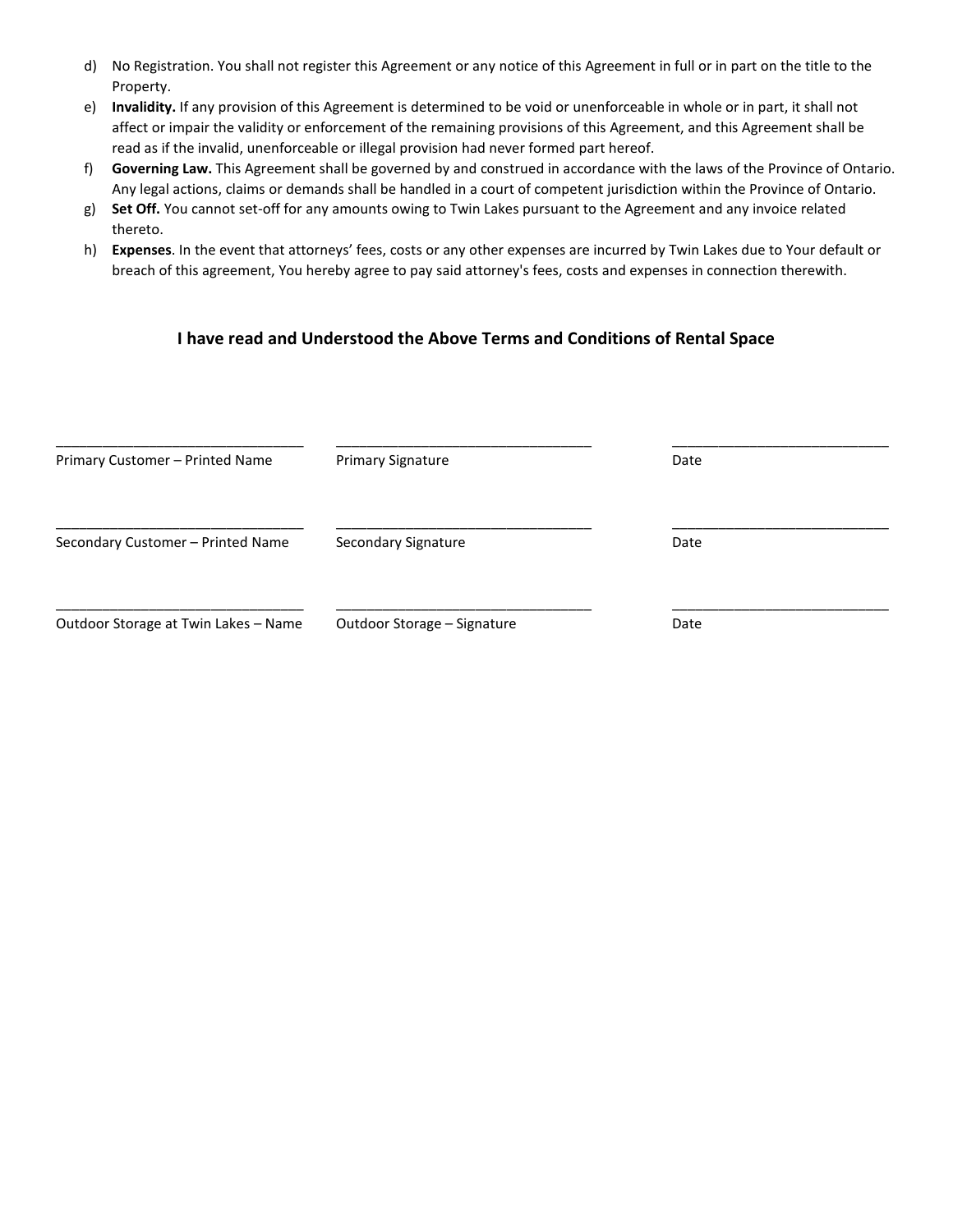- d) No Registration. You shall not register this Agreement or any notice of this Agreement in full or in part on the title to the Property.
- e) **Invalidity.** If any provision of this Agreement is determined to be void or unenforceable in whole or in part, it shall not affect or impair the validity or enforcement of the remaining provisions of this Agreement, and this Agreement shall be read as if the invalid, unenforceable or illegal provision had never formed part hereof.
- f) **Governing Law.** This Agreement shall be governed by and construed in accordance with the laws of the Province of Ontario. Any legal actions, claims or demands shall be handled in a court of competent jurisdiction within the Province of Ontario.
- g) **Set Off.** You cannot set-off for any amounts owing to Twin Lakes pursuant to the Agreement and any invoice related thereto.
- h) **Expenses**. In the event that attorneys' fees, costs or any other expenses are incurred by Twin Lakes due to Your default or breach of this agreement, You hereby agree to pay said attorney's fees, costs and expenses in connection therewith.

### **I have read and Understood the Above Terms and Conditions of Rental Space**

| Primary Customer - Printed Name      | <b>Primary Signature</b>    | Date |  |  |
|--------------------------------------|-----------------------------|------|--|--|
| Secondary Customer - Printed Name    | Secondary Signature         | Date |  |  |
| Outdoor Storage at Twin Lakes - Name | Outdoor Storage – Signature | Date |  |  |